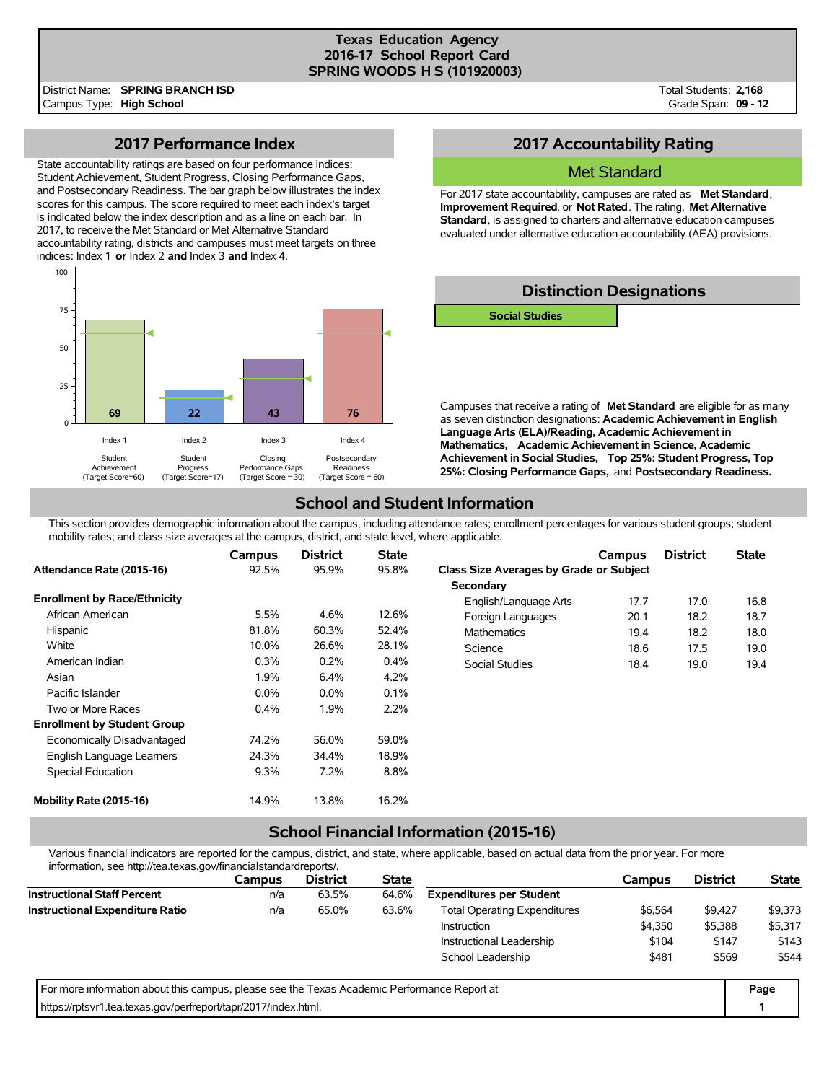#### **Texas Education Agency 2016-17 School Report Card SPRING WOODS H S (101920003)**

District Name: **SPRING BRANCH ISD** Campus Type: **High School**

Total Students: **2,168** Grade Span: **09 - 12**

### **2017 Performance Index**

State accountability ratings are based on four performance indices: Student Achievement, Student Progress, Closing Performance Gaps, and Postsecondary Readiness. The bar graph below illustrates the index scores for this campus. The score required to meet each index's target is indicated below the index description and as a line on each bar. In 2017, to receive the Met Standard or Met Alternative Standard accountability rating, districts and campuses must meet targets on three indices: Index 1 **or** Index 2 **and** Index 3 **and** Index 4.



### **2017 Accountability Rating**

### Met Standard

For 2017 state accountability, campuses are rated as **Met Standard**, **Improvement Required**, or **Not Rated**. The rating, **Met Alternative Standard**, is assigned to charters and alternative education campuses evaluated under alternative education accountability (AEA) provisions.

## **Distinction Designations**

**Social Studies**

Campuses that receive a rating of **Met Standard** are eligible for as many as seven distinction designations: **Academic Achievement in English Language Arts (ELA)/Reading, Academic Achievement in Mathematics, Academic Achievement in Science, Academic Achievement in Social Studies, Top 25%: Student Progress, Top 25%: Closing Performance Gaps,** and **Postsecondary Readiness.**

### **School and Student Information**

This section provides demographic information about the campus, including attendance rates; enrollment percentages for various student groups; student mobility rates; and class size averages at the campus, district, and state level, where applicable.

|                                     | Campus  | <b>District</b> | <b>State</b> |                                         | Campus | <b>District</b> | <b>State</b> |
|-------------------------------------|---------|-----------------|--------------|-----------------------------------------|--------|-----------------|--------------|
| Attendance Rate (2015-16)           | 92.5%   | 95.9%           | 95.8%        | Class Size Averages by Grade or Subject |        |                 |              |
|                                     |         |                 |              | Secondary                               |        |                 |              |
| <b>Enrollment by Race/Ethnicity</b> |         |                 |              | English/Language Arts                   | 17.7   | 17.0            | 16.8         |
| African American                    | 5.5%    | 4.6%            | 12.6%        | Foreign Languages                       | 20.1   | 18.2            | 18.7         |
| Hispanic                            | 81.8%   | 60.3%           | 52.4%        | <b>Mathematics</b>                      | 19.4   | 18.2            | 18.0         |
| White                               | 10.0%   | 26.6%           | 28.1%        | Science                                 | 18.6   | 17.5            | 19.0         |
| American Indian                     | 0.3%    | 0.2%            | 0.4%         | Social Studies                          | 18.4   | 19.0            | 19.4         |
| Asian                               | 1.9%    | 6.4%            | 4.2%         |                                         |        |                 |              |
| Pacific Islander                    | $0.0\%$ | $0.0\%$         | 0.1%         |                                         |        |                 |              |
| Two or More Races                   | 0.4%    | 1.9%            | 2.2%         |                                         |        |                 |              |
| <b>Enrollment by Student Group</b>  |         |                 |              |                                         |        |                 |              |
| Economically Disadvantaged          | 74.2%   | 56.0%           | 59.0%        |                                         |        |                 |              |
| English Language Learners           | 24.3%   | 34.4%           | 18.9%        |                                         |        |                 |              |
| Special Education                   | 9.3%    | 7.2%            | 8.8%         |                                         |        |                 |              |
| Mobility Rate (2015-16)             | 14.9%   | 13.8%           | 16.2%        |                                         |        |                 |              |

# **School Financial Information (2015-16)**

Various financial indicators are reported for the campus, district, and state, where applicable, based on actual data from the prior year. For more information, see http://tea.texas.gov/financialstandardreports/.

| lnformation, see http://tea.texas.gov/financialstandardreports/.                            |               |                 |              |                                     |         |                 |              |  |
|---------------------------------------------------------------------------------------------|---------------|-----------------|--------------|-------------------------------------|---------|-----------------|--------------|--|
|                                                                                             | <b>Campus</b> | <b>District</b> | <b>State</b> |                                     | Campus  | <b>District</b> | <b>State</b> |  |
| <b>Instructional Staff Percent</b>                                                          | n/a           | 63.5%           | 64.6%        | <b>Expenditures per Student</b>     |         |                 |              |  |
| <b>Instructional Expenditure Ratio</b>                                                      | n/a           | 65.0%           | 63.6%        | <b>Total Operating Expenditures</b> | \$6,564 | \$9,427         | \$9,373      |  |
|                                                                                             |               |                 |              | <b>Instruction</b>                  | \$4,350 | \$5,388         | \$5,317      |  |
|                                                                                             |               |                 |              | Instructional Leadership            | \$104   | \$147           | \$143        |  |
|                                                                                             |               |                 |              | School Leadership                   | \$481   | \$569           | \$544        |  |
| For more information about this campus, please see the Texas Academic Performance Report at |               |                 |              |                                     |         |                 |              |  |
| https://rptsvr1.tea.texas.gov/perfreport/tapr/2017/index.html.                              |               |                 |              |                                     |         |                 |              |  |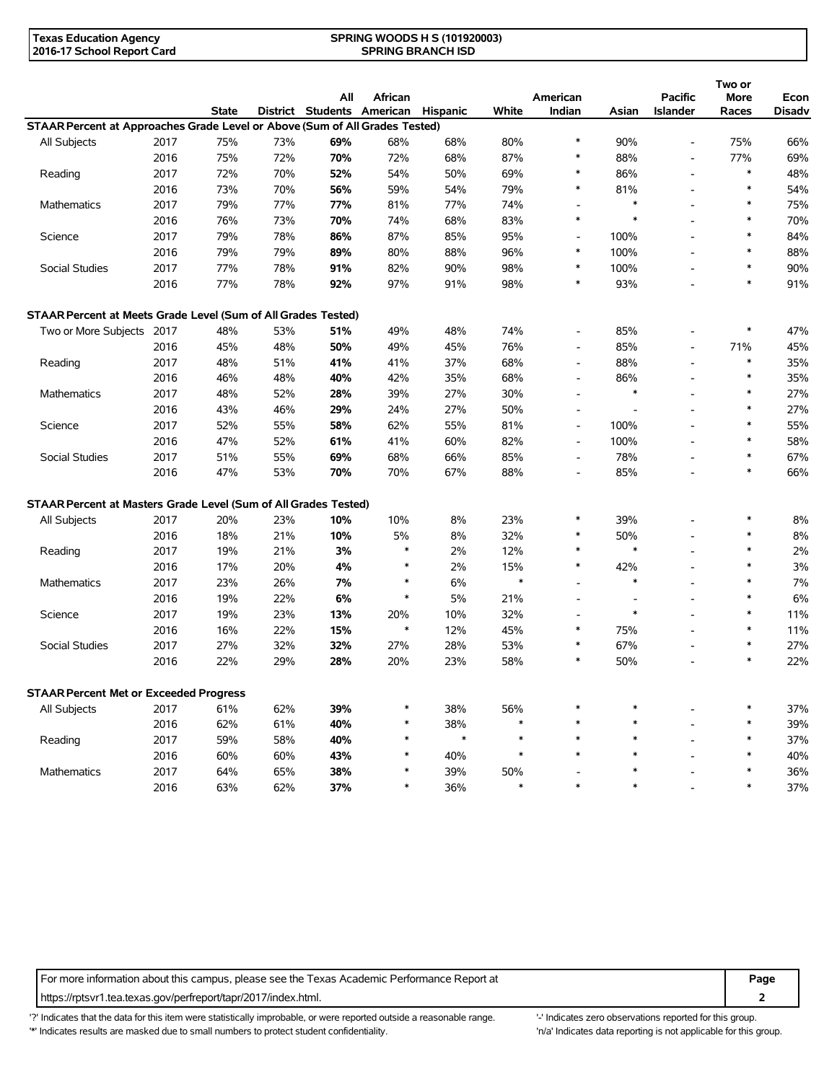| <b>Texas Education Agency</b> | <b>SPRING WOODS H S (101920003)</b> |  |
|-------------------------------|-------------------------------------|--|
| 2016-17 School Report Card    | <b>SPRING BRANCH ISD</b>            |  |

|                                                                             |      |              |     |                                   |         |                 |        |                          |                          |                                   | Two or        |                |
|-----------------------------------------------------------------------------|------|--------------|-----|-----------------------------------|---------|-----------------|--------|--------------------------|--------------------------|-----------------------------------|---------------|----------------|
|                                                                             |      | <b>State</b> |     | All<br>District Students American | African | <b>Hispanic</b> | White  | American<br>Indian       | Asian                    | <b>Pacific</b><br><b>Islander</b> | More<br>Races | Econ<br>Disadv |
| STAAR Percent at Approaches Grade Level or Above (Sum of All Grades Tested) |      |              |     |                                   |         |                 |        |                          |                          |                                   |               |                |
| All Subjects                                                                | 2017 | 75%          | 73% | 69%                               | 68%     | 68%             | 80%    | $\ast$                   | 90%                      | $\overline{\phantom{a}}$          | 75%           | 66%            |
|                                                                             | 2016 | 75%          | 72% | 70%                               | 72%     | 68%             | 87%    | $\ast$                   | 88%                      | $\overline{\phantom{a}}$          | 77%           | 69%            |
| Reading                                                                     | 2017 | 72%          | 70% | 52%                               | 54%     | 50%             | 69%    | $\ast$                   | 86%                      | $\overline{a}$                    | $\ast$        | 48%            |
|                                                                             | 2016 | 73%          | 70% | 56%                               | 59%     | 54%             | 79%    | $\ast$                   | 81%                      | $\overline{a}$                    | $\ast$        | 54%            |
| Mathematics                                                                 | 2017 | 79%          | 77% | 77%                               | 81%     | 77%             | 74%    | $\overline{\phantom{a}}$ | $\ast$                   | L,                                | *             | 75%            |
|                                                                             | 2016 | 76%          | 73% | 70%                               | 74%     | 68%             | 83%    | $\ast$                   | $\ast$                   | $\overline{a}$                    | $\ast$        | 70%            |
| Science                                                                     | 2017 | 79%          | 78% | 86%                               | 87%     | 85%             | 95%    | $\overline{a}$           | 100%                     | $\overline{a}$                    | $\ast$        | 84%            |
|                                                                             | 2016 | 79%          | 79% | 89%                               | 80%     | 88%             | 96%    | $\ast$                   | 100%                     | $\blacksquare$                    | $\ast$        | 88%            |
| Social Studies                                                              | 2017 | 77%          | 78% | 91%                               | 82%     | 90%             | 98%    | $\ast$                   | 100%                     | $\blacksquare$                    | $\ast$        | 90%            |
|                                                                             | 2016 | 77%          | 78% | 92%                               | 97%     | 91%             | 98%    | $\ast$                   | 93%                      |                                   | $\ast$        | 91%            |
|                                                                             |      |              |     |                                   |         |                 |        |                          |                          |                                   |               |                |
| STAAR Percent at Meets Grade Level (Sum of All Grades Tested)               |      |              |     |                                   |         |                 |        |                          |                          |                                   |               |                |
| Two or More Subjects 2017                                                   |      | 48%          | 53% | 51%                               | 49%     | 48%             | 74%    | $\overline{\phantom{a}}$ | 85%                      |                                   | $\ast$        | 47%            |
|                                                                             | 2016 | 45%          | 48% | 50%                               | 49%     | 45%             | 76%    | $\overline{\phantom{a}}$ | 85%                      | $\overline{\phantom{a}}$          | 71%           | 45%            |
| Reading                                                                     | 2017 | 48%          | 51% | 41%                               | 41%     | 37%             | 68%    | $\overline{\phantom{a}}$ | 88%                      | $\blacksquare$                    | $\ast$        | 35%            |
|                                                                             | 2016 | 46%          | 48% | 40%                               | 42%     | 35%             | 68%    | $\overline{\phantom{a}}$ | 86%                      | $\overline{a}$                    | $\ast$        | 35%            |
| Mathematics                                                                 | 2017 | 48%          | 52% | 28%                               | 39%     | 27%             | 30%    | $\overline{a}$           | $\ast$                   |                                   | $\ast$        | 27%            |
|                                                                             | 2016 | 43%          | 46% | 29%                               | 24%     | 27%             | 50%    | $\overline{a}$           |                          | $\overline{\phantom{a}}$          | *             | 27%            |
| Science                                                                     | 2017 | 52%          | 55% | 58%                               | 62%     | 55%             | 81%    | $\overline{\phantom{a}}$ | 100%                     | L,                                | $\ast$        | 55%            |
|                                                                             | 2016 | 47%          | 52% | 61%                               | 41%     | 60%             | 82%    | $\overline{\phantom{a}}$ | 100%                     |                                   | $\ast$        | 58%            |
| Social Studies                                                              | 2017 | 51%          | 55% | 69%                               | 68%     | 66%             | 85%    | $\overline{\phantom{a}}$ | 78%                      | $\blacksquare$                    | $\ast$        | 67%            |
|                                                                             | 2016 | 47%          | 53% | 70%                               | 70%     | 67%             | 88%    | $\overline{\phantom{a}}$ | 85%                      |                                   | $\ast$        | 66%            |
| STAAR Percent at Masters Grade Level (Sum of All Grades Tested)             |      |              |     |                                   |         |                 |        |                          |                          |                                   |               |                |
| All Subjects                                                                | 2017 | 20%          | 23% | 10%                               | 10%     | 8%              | 23%    | $\ast$                   | 39%                      | $\overline{a}$                    | $\ast$        | 8%             |
|                                                                             | 2016 | 18%          | 21% | 10%                               | 5%      | 8%              | 32%    | $\ast$                   | 50%                      | $\overline{\phantom{a}}$          | $\ast$        | $8\%$          |
| Reading                                                                     | 2017 | 19%          | 21% | 3%                                | $\ast$  | 2%              | 12%    | $\ast$                   | $\ast$                   | $\overline{a}$                    | $\ast$        | 2%             |
|                                                                             | 2016 | 17%          | 20% | 4%                                | $\ast$  | 2%              | 15%    | $\ast$                   | 42%                      | $\overline{a}$                    | $\ast$        | 3%             |
| Mathematics                                                                 | 2017 | 23%          | 26% | 7%                                | $\ast$  | 6%              | $\ast$ | $\overline{\phantom{a}}$ | $\ast$                   | L,                                | $\ast$        | 7%             |
|                                                                             | 2016 | 19%          | 22% | 6%                                | $\ast$  | 5%              | 21%    | $\overline{a}$           | $\overline{\phantom{a}}$ | $\overline{a}$                    | $\ast$        | 6%             |
| Science                                                                     | 2017 | 19%          | 23% | 13%                               | 20%     | 10%             | 32%    |                          | $\ast$                   | $\overline{a}$                    | $\ast$        | 11%            |
|                                                                             | 2016 |              |     |                                   | $\ast$  |                 |        | $\ast$                   |                          | $\overline{a}$                    | $\ast$        |                |
|                                                                             |      | 16%          | 22% | 15%                               |         | 12%             | 45%    | $\ast$                   | 75%<br>67%               |                                   | $\ast$        | 11%<br>27%     |
| Social Studies                                                              | 2017 | 27%          | 32% | 32%                               | 27%     | 28%             | 53%    | $\ast$                   |                          | $\overline{\phantom{a}}$          | *             |                |
|                                                                             | 2016 | 22%          | 29% | 28%                               | 20%     | 23%             | 58%    |                          | 50%                      |                                   |               | 22%            |
| <b>STAAR Percent Met or Exceeded Progress</b>                               |      |              |     |                                   |         |                 |        |                          |                          |                                   |               |                |
| All Subjects                                                                | 2017 | 61%          | 62% | 39%                               |         | 38%             | 56%    |                          |                          |                                   |               | 37%            |
|                                                                             | 2016 | 62%          | 61% | 40%                               | ∗       | 38%             | $\ast$ |                          | $\ast$                   |                                   |               | 39%            |
| Reading                                                                     | 2017 | 59%          | 58% | 40%                               | $\ast$  | $\ast$          | $\ast$ | $\ast$                   | $\ast$                   |                                   | $\ast$        | 37%            |
|                                                                             | 2016 | 60%          | 60% | 43%                               | $\ast$  | 40%             | $\ast$ | $\ast$                   | $\ast$                   |                                   | $\ast$        | 40%            |
| <b>Mathematics</b>                                                          | 2017 | 64%          | 65% | 38%                               | $\ast$  | 39%             | 50%    |                          | $\ast$                   |                                   | *             | 36%            |
|                                                                             | 2016 | 63%          | 62% | 37%                               | $\ast$  | 36%             | $\ast$ | $\ast$                   | $\ast$                   |                                   |               | 37%            |

For more information about this campus, please see the Texas Academic Performance Report at **Page Page** https://rptsvr1.tea.texas.gov/perfreport/tapr/2017/index.html. **2**

'?' Indicates that the data for this item were statistically improbable, or were reported outside a reasonable range. '-' Indicates zero observations reported for this group. '\*' Indicates results are masked due to small numbers to protect student confidentiality. 'n/a' Indicates data reporting is not applicable for this group.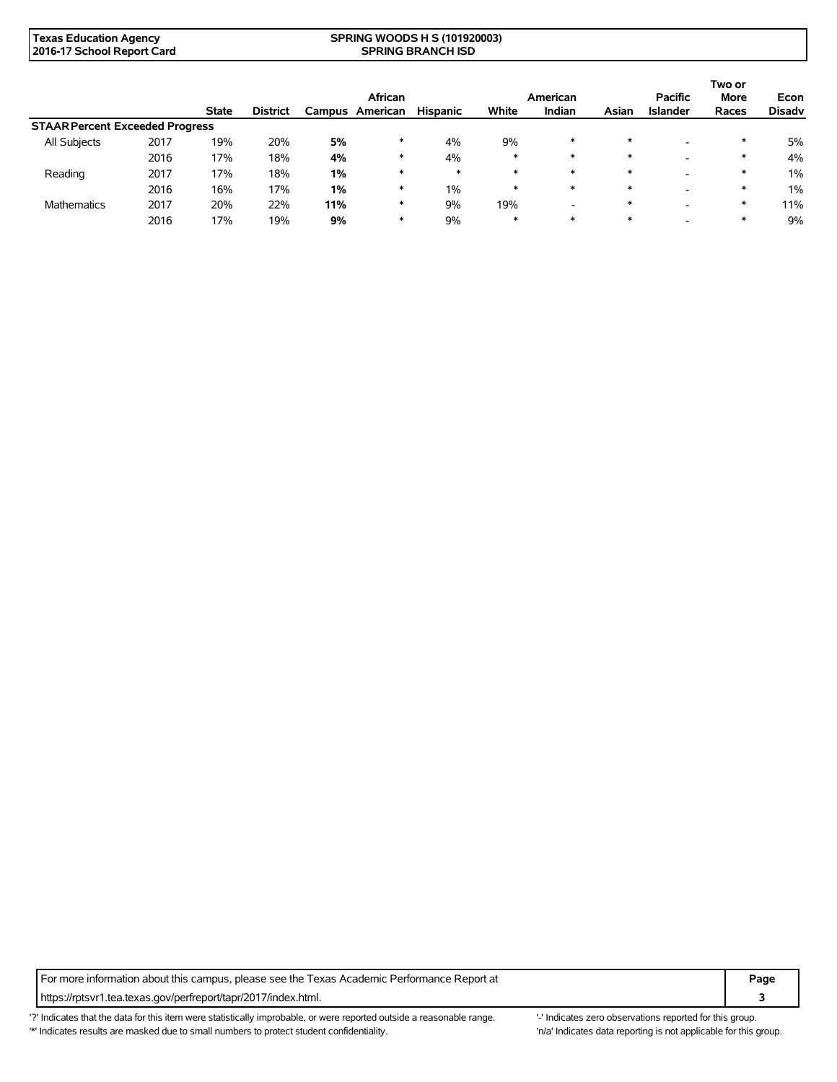| Texas Education Agency     | <b>SPRING WOODS H S (101920003)</b> |
|----------------------------|-------------------------------------|
| 2016-17 School Report Card | <b>SPRING BRANCH ISD</b>            |

|                                        |      |              |                 |        | African  |                 |                          | American |                          | <b>Pacific</b>           | Two or<br><b>More</b> | Econ          |
|----------------------------------------|------|--------------|-----------------|--------|----------|-----------------|--------------------------|----------|--------------------------|--------------------------|-----------------------|---------------|
|                                        |      | <b>State</b> | <b>District</b> | Campus | American | <b>Hispanic</b> | White                    | Indian   | Asian                    | <b>Islander</b>          | Races                 | <b>Disadv</b> |
| <b>STAAR Percent Exceeded Progress</b> |      |              |                 |        |          |                 |                          |          |                          |                          |                       |               |
| All Subjects<br>2017                   | 19%  | 20%          | 5%              | ∗      | 4%       | 9%              | *                        | $\ast$   | $\overline{\phantom{a}}$ | *                        | 5%                    |               |
|                                        | 2016 | 17%          | 18%             | 4%     | ∗        | 4%              | $\ast$                   | $\ast$   | $\ast$                   | $\overline{\phantom{a}}$ | $\ast$                | 4%            |
| Reading                                | 2017 | 17%          | 18%             | 1%     | $\ast$   | $\ast$          | $\ast$                   | $\ast$   | $\ast$                   | $\overline{\phantom{a}}$ | $\ast$                | $1\%$         |
|                                        | 2016 | 16%          | 17%             | 1%     | ∗        | 1%              | $\ast$                   | $\ast$   | $\ast$                   | $\overline{\phantom{a}}$ | $\ast$                | $1\%$         |
| 2017<br><b>Mathematics</b>             | 20%  | 22%          | 11%             | ∗      | 9%       | 19%             | $\overline{\phantom{0}}$ | $\ast$   | -                        | ∗                        | 11%                   |               |
|                                        | 2016 | 17%          | 19%             | 9%     | ∗        | 9%              | $\ast$                   | $\ast$   | $\ast$                   | -                        | ∗                     | 9%            |

For more information about this campus, please see the Texas Academic Performance Report at **Page Page** https://rptsvr1.tea.texas.gov/perfreport/tapr/2017/index.html. **3**

'?' Indicates that the data for this item were statistically improbable, or were reported outside a reasonable range. "Indicates zero observations reported for this group. \*' Indicates results are masked due to small numbers to protect student confidentiality. Ma' Indicates data reporting is not applicable for this group.